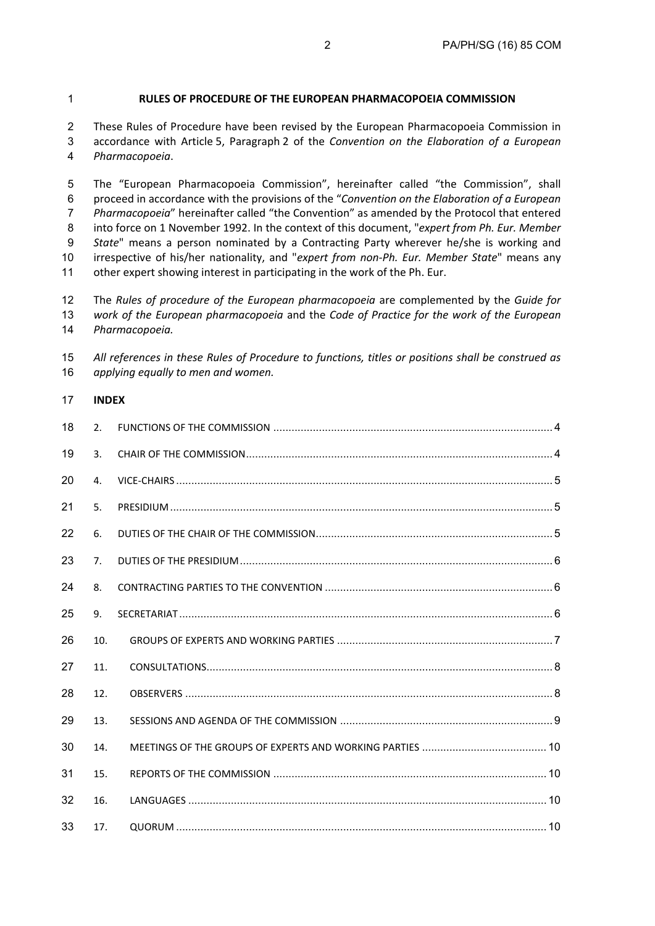#### **RULES OF PROCEDURE OF THE EUROPEAN PHARMACOPOEIA COMMISSION**

These Rules of Procedure have been revised by the European Pharmacopoeia Commission in accordance with Article 5, Paragraph 2 of the *Convention on the Elaboration of a European Pharmacopoeia*.

The "European Pharmacopoeia Commission", hereinafter called "the Commission", shall proceed in accordance with the provisions of the "*Convention on the Elaboration of a European Pharmacopoeia*" hereinafter called "the Convention" as amended by the Protocol that entered into force on 1 November 1992. In the context of this document, "*expert from Ph. Eur. Member State*" means a person nominated by a Contracting Party wherever he/she is working and irrespective of his/her nationality, and "*expert from non-Ph. Eur. Member State*" means any other expert showing interest in participating in the work of the Ph. Eur.

The *Rules of procedure of the European pharmacopoeia* are complemented by the *Guide for work of the European pharmacopoeia* and the *Code of Practice for the work of the European Pharmacopoeia.*

| 15 All references in these Rules of Procedure to functions, titles or positions shall be construed as |
|-------------------------------------------------------------------------------------------------------|
| 16 applying equally to men and women.                                                                 |

#### **INDEX**

| 18 | 2.             |  |
|----|----------------|--|
| 19 | 3.             |  |
| 20 | 4.             |  |
| 21 | 5.             |  |
| 22 | 6.             |  |
| 23 | 7 <sub>1</sub> |  |
| 24 | 8.             |  |
| 25 | 9.             |  |
| 26 | 10.            |  |
| 27 | 11.            |  |
| 28 | 12.            |  |
| 29 | 13.            |  |
| 30 | 14.            |  |
| 31 | 15.            |  |
| 32 | 16.            |  |
| 33 | 17.            |  |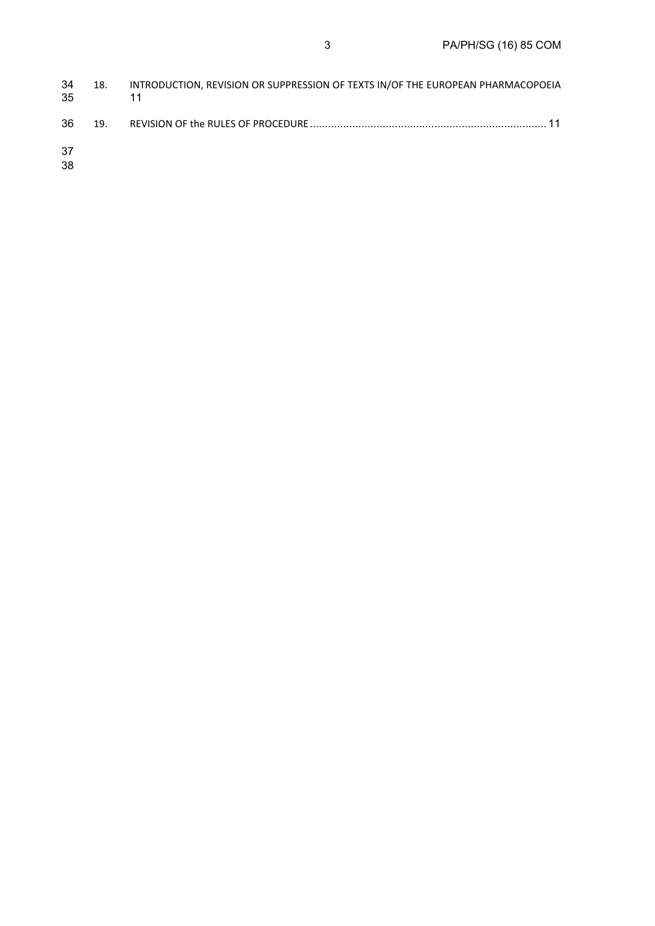| 34<br>-35 | 18. | INTRODUCTION, REVISION OR SUPPRESSION OF TEXTS IN/OF THE EUROPEAN PHARMACOPOEIA |
|-----------|-----|---------------------------------------------------------------------------------|
| -36       |     |                                                                                 |
| -37       |     |                                                                                 |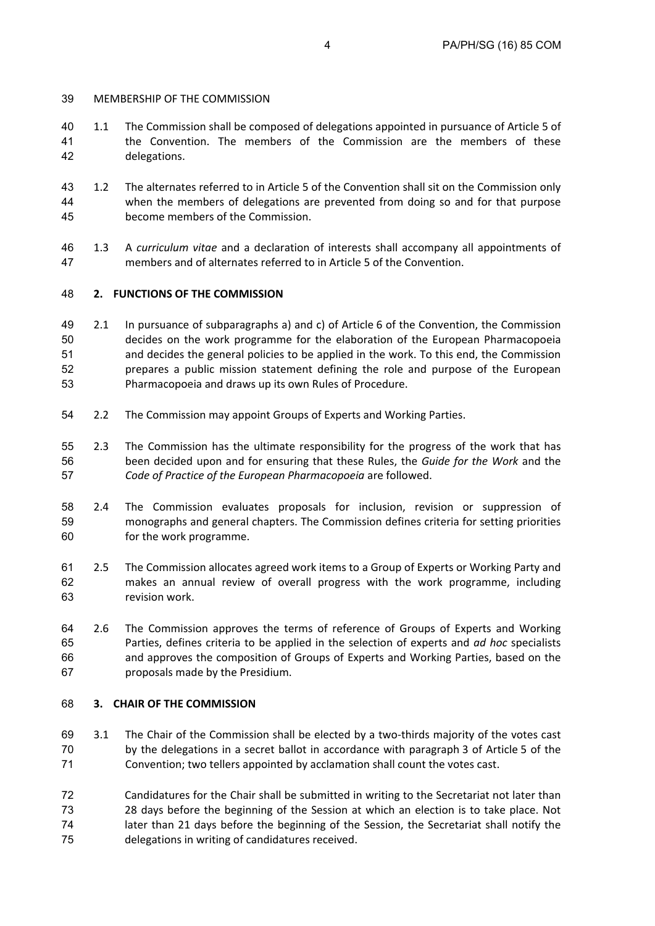# MEMBERSHIP OF THE COMMISSION

- 1.1 The Commission shall be composed of delegations appointed in pursuance of Article 5 of the Convention. The members of the Commission are the members of these delegations.
- 1.2 The alternates referred to in Article 5 of the Convention shall sit on the Commission only when the members of delegations are prevented from doing so and for that purpose become members of the Commission.
- 1.3 A *curriculum vitae* and a declaration of interests shall accompany all appointments of members and of alternates referred to in Article 5 of the Convention.

# **2. FUNCTIONS OF THE COMMISSION**

- 2.1 In pursuance of subparagraphs a) and c) of Article 6 of the Convention, the Commission decides on the work programme for the elaboration of the European Pharmacopoeia and decides the general policies to be applied in the work. To this end, the Commission prepares a public mission statement defining the role and purpose of the European Pharmacopoeia and draws up its own Rules of Procedure.
- 2.2 The Commission may appoint Groups of Experts and Working Parties.
- 2.3 The Commission has the ultimate responsibility for the progress of the work that has been decided upon and for ensuring that these Rules, the *Guide for the Work* and the *Code of Practice of the European Pharmacopoeia* are followed.
- 2.4 The Commission evaluates proposals for inclusion, revision or suppression of monographs and general chapters. The Commission defines criteria for setting priorities for the work programme.
- 2.5 The Commission allocates agreed work items to a Group of Experts or Working Party and makes an annual review of overall progress with the work programme, including revision work.
- 2.6 The Commission approves the terms of reference of Groups of Experts and Working Parties, defines criteria to be applied in the selection of experts and *ad hoc* specialists and approves the composition of Groups of Experts and Working Parties, based on the proposals made by the Presidium.

# **3. CHAIR OF THE COMMISSION**

- 3.1 The Chair of the Commission shall be elected by a two-thirds majority of the votes cast by the delegations in a secret ballot in accordance with paragraph 3 of Article 5 of the Convention; two tellers appointed by acclamation shall count the votes cast.
- Candidatures for the Chair shall be submitted in writing to the Secretariat not later than 28 days before the beginning of the Session at which an election is to take place. Not later than 21 days before the beginning of the Session, the Secretariat shall notify the delegations in writing of candidatures received.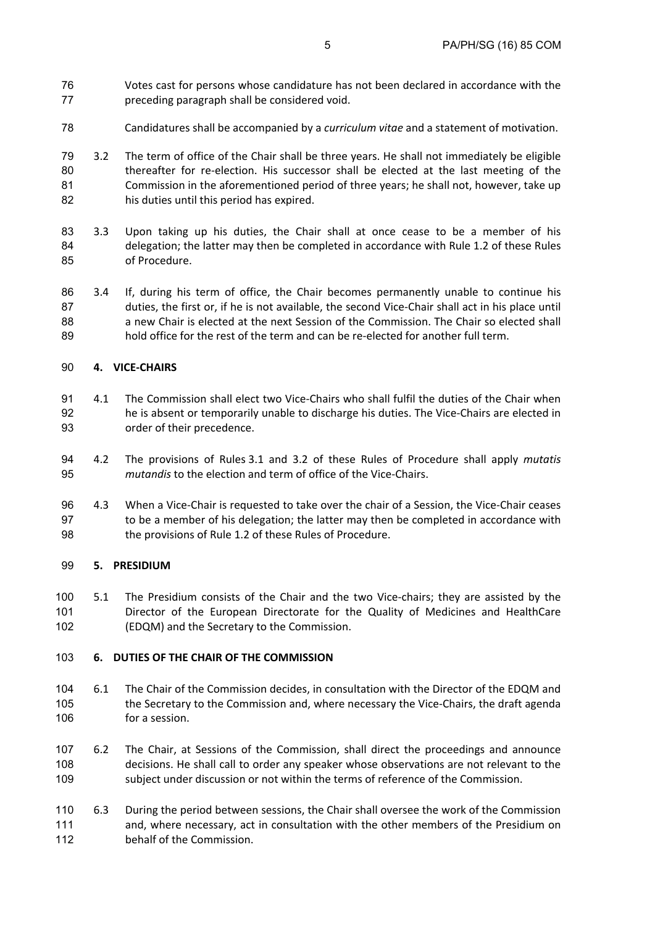- Votes cast for persons whose candidature has not been declared in accordance with the preceding paragraph shall be considered void.
- Candidatures shall be accompanied by a *curriculum vitae* and a statement of motivation.
- 3.2 The term of office of the Chair shall be three years. He shall not immediately be eligible thereafter for re-election. His successor shall be elected at the last meeting of the Commission in the aforementioned period of three years; he shall not, however, take up his duties until this period has expired.
- 3.3 Upon taking up his duties, the Chair shall at once cease to be a member of his delegation; the latter may then be completed in accordance with Rule 1.2 of these Rules of Procedure.
- 3.4 If, during his term of office, the Chair becomes permanently unable to continue his duties, the first or, if he is not available, the second Vice-Chair shall act in his place until 88 a new Chair is elected at the next Session of the Commission. The Chair so elected shall hold office for the rest of the term and can be re-elected for another full term.

## **4. VICE-CHAIRS**

- 4.1 The Commission shall elect two Vice-Chairs who shall fulfil the duties of the Chair when he is absent or temporarily unable to discharge his duties. The Vice-Chairs are elected in order of their precedence.
- 4.2 The provisions of Rules 3.1 and 3.2 of these Rules of Procedure shall apply *mutatis mutandis* to the election and term of office of the Vice-Chairs.
- 4.3 When a Vice-Chair is requested to take over the chair of a Session, the Vice-Chair ceases to be a member of his delegation; the latter may then be completed in accordance with 98 the provisions of Rule 1.2 of these Rules of Procedure.

### **5. PRESIDIUM**

5.1 The Presidium consists of the Chair and the two Vice-chairs; they are assisted by the Director of the European Directorate for the Quality of Medicines and HealthCare (EDQM) and the Secretary to the Commission.

# **6. DUTIES OF THE CHAIR OF THE COMMISSION**

- 6.1 The Chair of the Commission decides, in consultation with the Director of the EDQM and the Secretary to the Commission and, where necessary the Vice-Chairs, the draft agenda for a session.
- 6.2 The Chair, at Sessions of the Commission, shall direct the proceedings and announce decisions. He shall call to order any speaker whose observations are not relevant to the subject under discussion or not within the terms of reference of the Commission.
- 6.3 During the period between sessions, the Chair shall oversee the work of the Commission and, where necessary, act in consultation with the other members of the Presidium on 112 behalf of the Commission.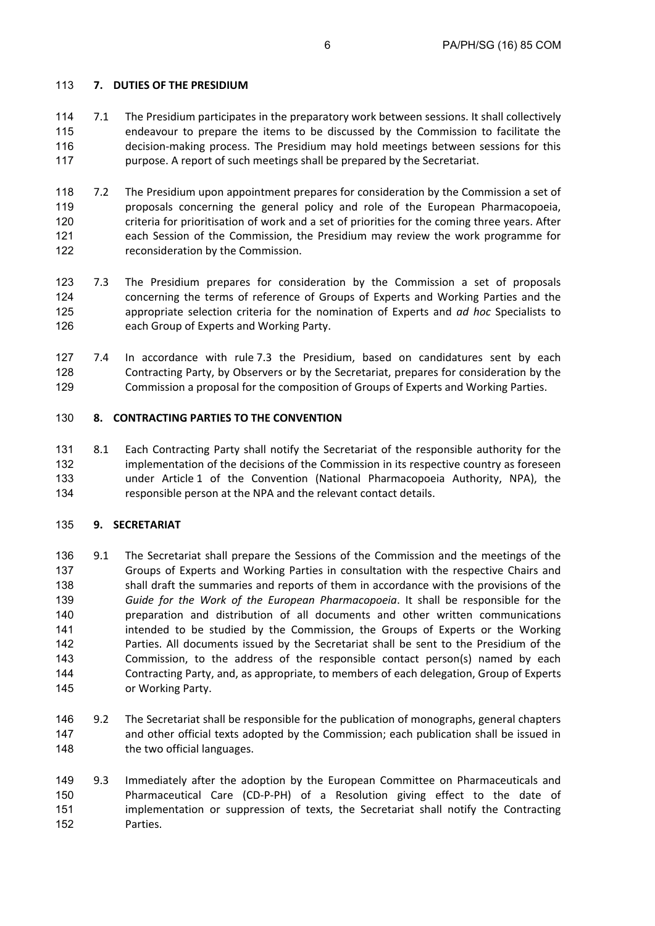# **7. DUTIES OF THE PRESIDIUM**

- 7.1 The Presidium participates in the preparatory work between sessions. It shall collectively endeavour to prepare the items to be discussed by the Commission to facilitate the decision-making process. The Presidium may hold meetings between sessions for this purpose. A report of such meetings shall be prepared by the Secretariat.
- 7.2 The Presidium upon appointment prepares for consideration by the Commission a set of proposals concerning the general policy and role of the European Pharmacopoeia, criteria for prioritisation of work and a set of priorities for the coming three years. After each Session of the Commission, the Presidium may review the work programme for reconsideration by the Commission.
- 7.3 The Presidium prepares for consideration by the Commission a set of proposals concerning the terms of reference of Groups of Experts and Working Parties and the appropriate selection criteria for the nomination of Experts and *ad hoc* Specialists to each Group of Experts and Working Party.
- 7.4 In accordance with rule 7.3 the Presidium, based on candidatures sent by each Contracting Party, by Observers or by the Secretariat, prepares for consideration by the Commission a proposal for the composition of Groups of Experts and Working Parties.

## **8. CONTRACTING PARTIES TO THE CONVENTION**

8.1 Each Contracting Party shall notify the Secretariat of the responsible authority for the 132 implementation of the decisions of the Commission in its respective country as foreseen under Article 1 of the Convention (National Pharmacopoeia Authority, NPA), the responsible person at the NPA and the relevant contact details.

### **9. SECRETARIAT**

- 136 9.1 The Secretariat shall prepare the Sessions of the Commission and the meetings of the Groups of Experts and Working Parties in consultation with the respective Chairs and shall draft the summaries and reports of them in accordance with the provisions of the *Guide for the Work of the European Pharmacopoeia*. It shall be responsible for the preparation and distribution of all documents and other written communications intended to be studied by the Commission, the Groups of Experts or the Working Parties. All documents issued by the Secretariat shall be sent to the Presidium of the Commission, to the address of the responsible contact person(s) named by each Contracting Party, and, as appropriate, to members of each delegation, Group of Experts or Working Party.
- 9.2 The Secretariat shall be responsible for the publication of monographs, general chapters and other official texts adopted by the Commission; each publication shall be issued in 148 the two official languages.
- 9.3 Immediately after the adoption by the European Committee on Pharmaceuticals and Pharmaceutical Care (CD-P-PH) of a Resolution giving effect to the date of implementation or suppression of texts, the Secretariat shall notify the Contracting Parties.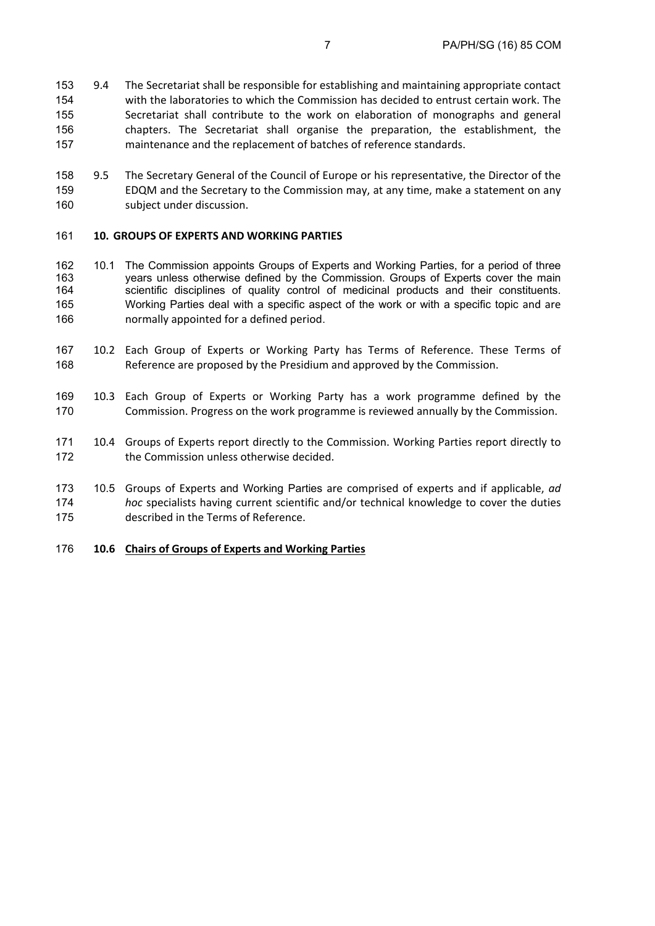- 9.4 The Secretariat shall be responsible for establishing and maintaining appropriate contact with the laboratories to which the Commission has decided to entrust certain work. The Secretariat shall contribute to the work on elaboration of monographs and general chapters. The Secretariat shall organise the preparation, the establishment, the maintenance and the replacement of batches of reference standards.
- 9.5 The Secretary General of the Council of Europe or his representative, the Director of the EDQM and the Secretary to the Commission may, at any time, make a statement on any subject under discussion.

#### **10. GROUPS OF EXPERTS AND WORKING PARTIES**

- 162 10.1 The Commission appoints Groups of Experts and Working Parties, for a period of three 163 years unless otherwise defined by the Commission. Groups of Experts cover the main 164 scientific disciplines of quality control of medicinal products and their constituents. 165 Working Parties deal with a specific aspect of the work or with a specific topic and are normally appointed for a defined period.
- 10.2 Each Group of Experts or Working Party has Terms of Reference. These Terms of Reference are proposed by the Presidium and approved by the Commission.
- 10.3 Each Group of Experts or Working Party has a work programme defined by the Commission. Progress on the work programme is reviewed annually by the Commission.
- 10.4 Groups of Experts report directly to the Commission. Working Parties report directly to 172 the Commission unless otherwise decided.
- 173 10.5 Groups of Experts and Working Parties are comprised of experts and if applicable, *ad hoc* specialists having current scientific and/or technical knowledge to cover the duties described in the Terms of Reference.

### **10.6 Chairs of Groups of Experts and Working Parties**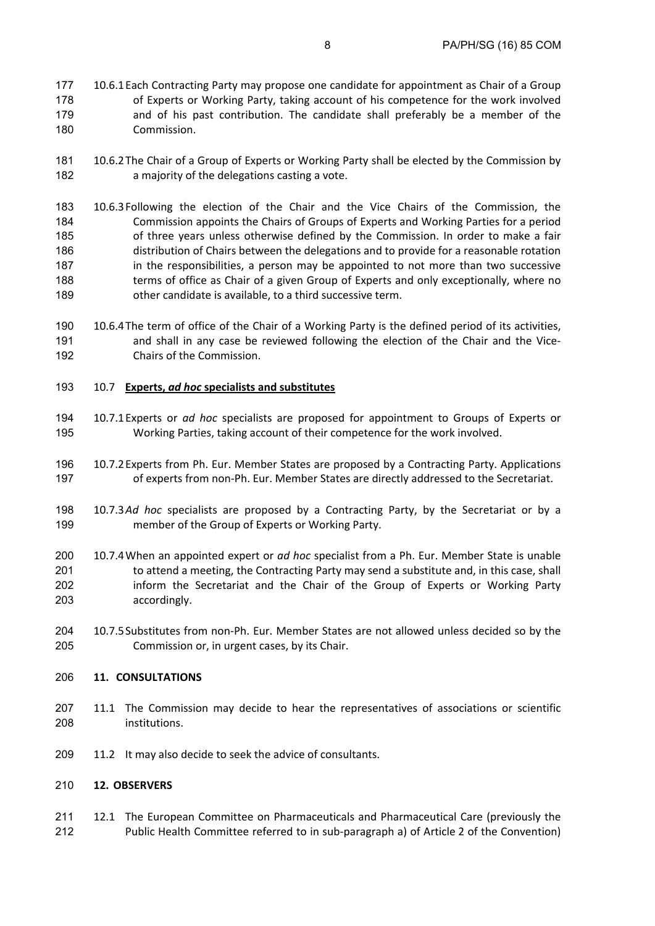- 177 10.6.1 Each Contracting Party may propose one candidate for appointment as Chair of a Group of Experts or Working Party, taking account of his competence for the work involved and of his past contribution. The candidate shall preferably be a member of the Commission.
- 10.6.2The Chair of a Group of Experts or Working Party shall be elected by the Commission by a majority of the delegations casting a vote.
- 10.6.3Following the election of the Chair and the Vice Chairs of the Commission, the Commission appoints the Chairs of Groups of Experts and Working Parties for a period of three years unless otherwise defined by the Commission. In order to make a fair distribution of Chairs between the delegations and to provide for a reasonable rotation 187 in the responsibilities, a person may be appointed to not more than two successive 188 terms of office as Chair of a given Group of Experts and only exceptionally, where no other candidate is available, to a third successive term.
- 10.6.4The term of office of the Chair of a Working Party is the defined period of its activities, 191 and shall in any case be reviewed following the election of the Chair and the Vice-Chairs of the Commission.
- 10.7 **Experts,** *ad hoc* **specialists and substitutes**
- 10.7.1Experts or *ad hoc* specialists are proposed for appointment to Groups of Experts or Working Parties, taking account of their competence for the work involved.
- 10.7.2Experts from Ph. Eur. Member States are proposed by a Contracting Party. Applications of experts from non-Ph. Eur. Member States are directly addressed to the Secretariat.
- 10.7.3*Ad hoc* specialists are proposed by a Contracting Party, by the Secretariat or by a member of the Group of Experts or Working Party.
- 10.7.4When an appointed expert or *ad hoc* specialist from a Ph. Eur. Member State is unable 201 to attend a meeting, the Contracting Party may send a substitute and, in this case, shall inform the Secretariat and the Chair of the Group of Experts or Working Party accordingly.
- 10.7.5Substitutes from non-Ph. Eur. Member States are not allowed unless decided so by the Commission or, in urgent cases, by its Chair.

### **11. CONSULTATIONS**

- 11.1 The Commission may decide to hear the representatives of associations or scientific institutions.
- 209 11.2 It may also decide to seek the advice of consultants.

### **12. OBSERVERS**

211 12.1 The European Committee on Pharmaceuticals and Pharmaceutical Care (previously the Public Health Committee referred to in sub-paragraph a) of Article 2 of the Convention)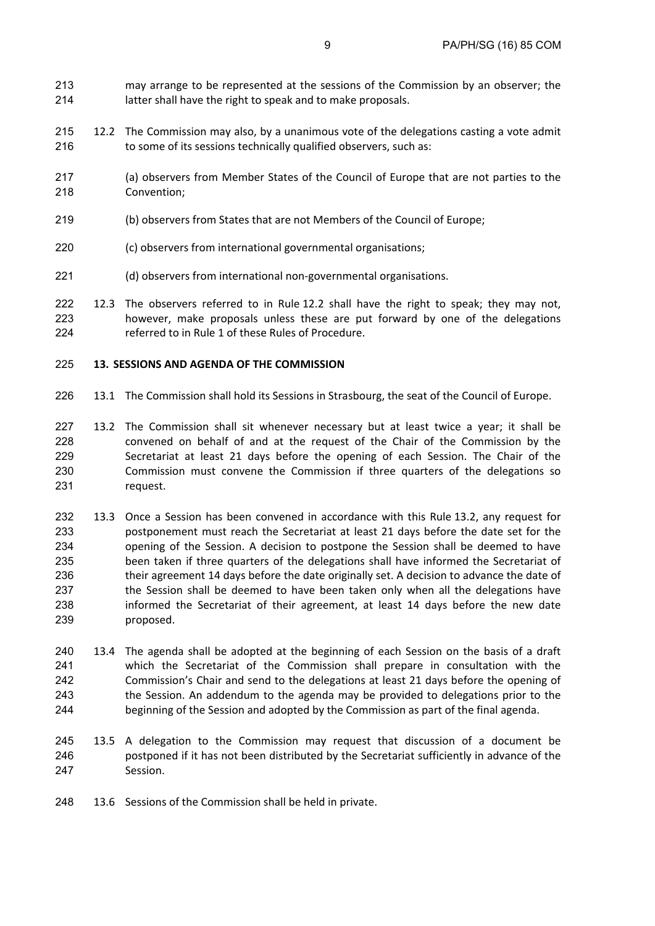- may arrange to be represented at the sessions of the Commission by an observer; the latter shall have the right to speak and to make proposals.
- 215 12.2 The Commission may also, by a unanimous vote of the delegations casting a vote admit 216 to some of its sessions technically qualified observers, such as:
- (a) observers from Member States of the Council of Europe that are not parties to the Convention;
- (b) observers from States that are not Members of the Council of Europe;
- (c) observers from international governmental organisations;
- (d) observers from international non-governmental organisations.
- 12.3 The observers referred to in Rule 12.2 shall have the right to speak; they may not, however, make proposals unless these are put forward by one of the delegations referred to in Rule 1 of these Rules of Procedure.

#### **13. SESSIONS AND AGENDA OF THE COMMISSION**

- 13.1 The Commission shall hold its Sessions in Strasbourg, the seat of the Council of Europe.
- 13.2 The Commission shall sit whenever necessary but at least twice a year; it shall be convened on behalf of and at the request of the Chair of the Commission by the Secretariat at least 21 days before the opening of each Session. The Chair of the Commission must convene the Commission if three quarters of the delegations so request.
- 13.3 Once a Session has been convened in accordance with this Rule 13.2, any request for postponement must reach the Secretariat at least 21 days before the date set for the opening of the Session. A decision to postpone the Session shall be deemed to have been taken if three quarters of the delegations shall have informed the Secretariat of 236 their agreement 14 days before the date originally set. A decision to advance the date of the Session shall be deemed to have been taken only when all the delegations have informed the Secretariat of their agreement, at least 14 days before the new date proposed.
- 240 13.4 The agenda shall be adopted at the beginning of each Session on the basis of a draft which the Secretariat of the Commission shall prepare in consultation with the Commission's Chair and send to the delegations at least 21 days before the opening of the Session. An addendum to the agenda may be provided to delegations prior to the beginning of the Session and adopted by the Commission as part of the final agenda.
- 13.5 A delegation to the Commission may request that discussion of a document be postponed if it has not been distributed by the Secretariat sufficiently in advance of the Session.
- 13.6 Sessions of the Commission shall be held in private.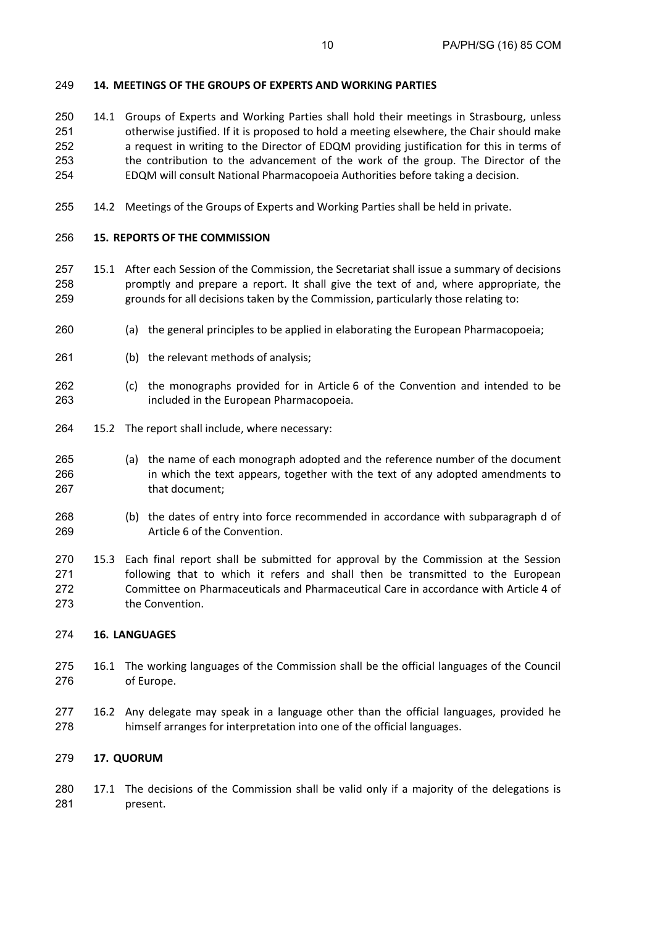## **14. MEETINGS OF THE GROUPS OF EXPERTS AND WORKING PARTIES**

- 14.1 Groups of Experts and Working Parties shall hold their meetings in Strasbourg, unless otherwise justified. If it is proposed to hold a meeting elsewhere, the Chair should make a request in writing to the Director of EDQM providing justification for this in terms of the contribution to the advancement of the work of the group. The Director of the EDQM will consult National Pharmacopoeia Authorities before taking a decision.
- 14.2 Meetings of the Groups of Experts and Working Parties shall be held in private.

## **15. REPORTS OF THE COMMISSION**

- 15.1 After each Session of the Commission, the Secretariat shall issue a summary of decisions promptly and prepare a report. It shall give the text of and, where appropriate, the grounds for all decisions taken by the Commission, particularly those relating to:
- (a) the general principles to be applied in elaborating the European Pharmacopoeia;
- (b) the relevant methods of analysis;
- (c) the monographs provided for in Article 6 of the Convention and intended to be included in the European Pharmacopoeia.
- 15.2 The report shall include, where necessary:
- (a) the name of each monograph adopted and the reference number of the document in which the text appears, together with the text of any adopted amendments to 267 that document:
- (b) the dates of entry into force recommended in accordance with subparagraph d of Article 6 of the Convention.
- 15.3 Each final report shall be submitted for approval by the Commission at the Session following that to which it refers and shall then be transmitted to the European Committee on Pharmaceuticals and Pharmaceutical Care in accordance with Article 4 of the Convention.

### **16. LANGUAGES**

- 16.1 The working languages of the Commission shall be the official languages of the Council of Europe.
- 16.2 Any delegate may speak in a language other than the official languages, provided he himself arranges for interpretation into one of the official languages.

### **17. QUORUM**

17.1 The decisions of the Commission shall be valid only if a majority of the delegations is present.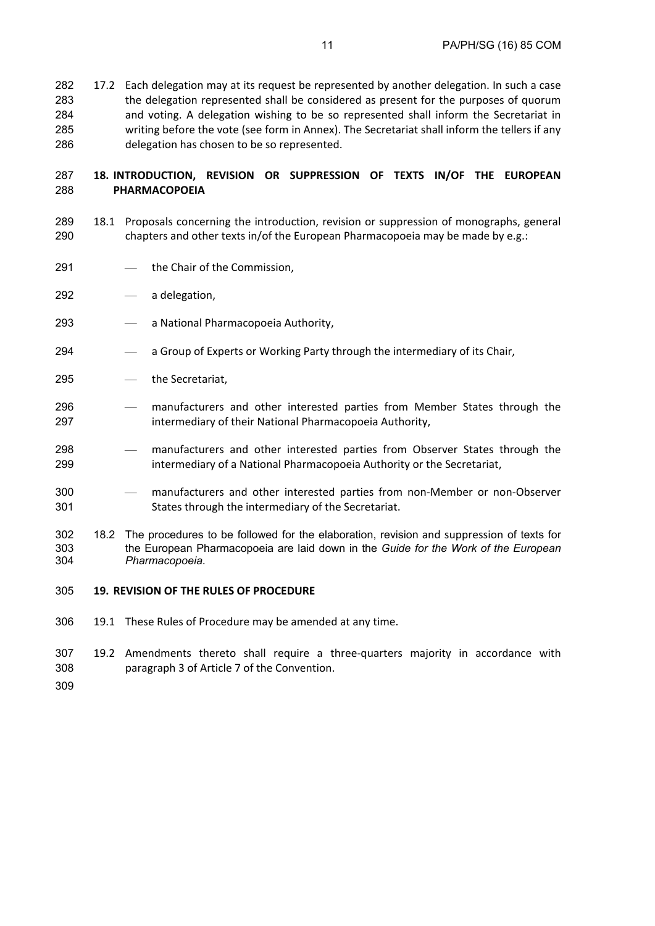17.2 Each delegation may at its request be represented by another delegation. In such a case the delegation represented shall be considered as present for the purposes of quorum and voting. A delegation wishing to be so represented shall inform the Secretariat in writing before the vote (see form in Annex). The Secretariat shall inform the tellers if any delegation has chosen to be so represented.

## **18. INTRODUCTION, REVISION OR SUPPRESSION OF TEXTS IN/OF THE EUROPEAN PHARMACOPOEIA**

- 18.1 Proposals concerning the introduction, revision or suppression of monographs, general chapters and other texts in/of the European Pharmacopoeia may be made by e.g.:
- the Chair of the Commission,
- a delegation,
- a National Pharmacopoeia Authority,
- a Group of Experts or Working Party through the intermediary of its Chair,
- the Secretariat,
- manufacturers and other interested parties from Member States through the intermediary of their National Pharmacopoeia Authority,
- manufacturers and other interested parties from Observer States through the intermediary of a National Pharmacopoeia Authority or the Secretariat,
- manufacturers and other interested parties from non-Member or non-Observer States through the intermediary of the Secretariat.
- 302 18.2 The procedures to be followed for the elaboration, revision and suppression of texts for 303 the European Pharmacopoeia are laid down in the Guide for the Work of the European 303 the European Pharmacopoeia are laid down in the *Guide for the Work of the European Pharmacopoeia*.
- **19. REVISION OF THE RULES OF PROCEDURE**
- 19.1 These Rules of Procedure may be amended at any time.
- 19.2 Amendments thereto shall require a three-quarters majority in accordance with paragraph 3 of Article 7 of the Convention.